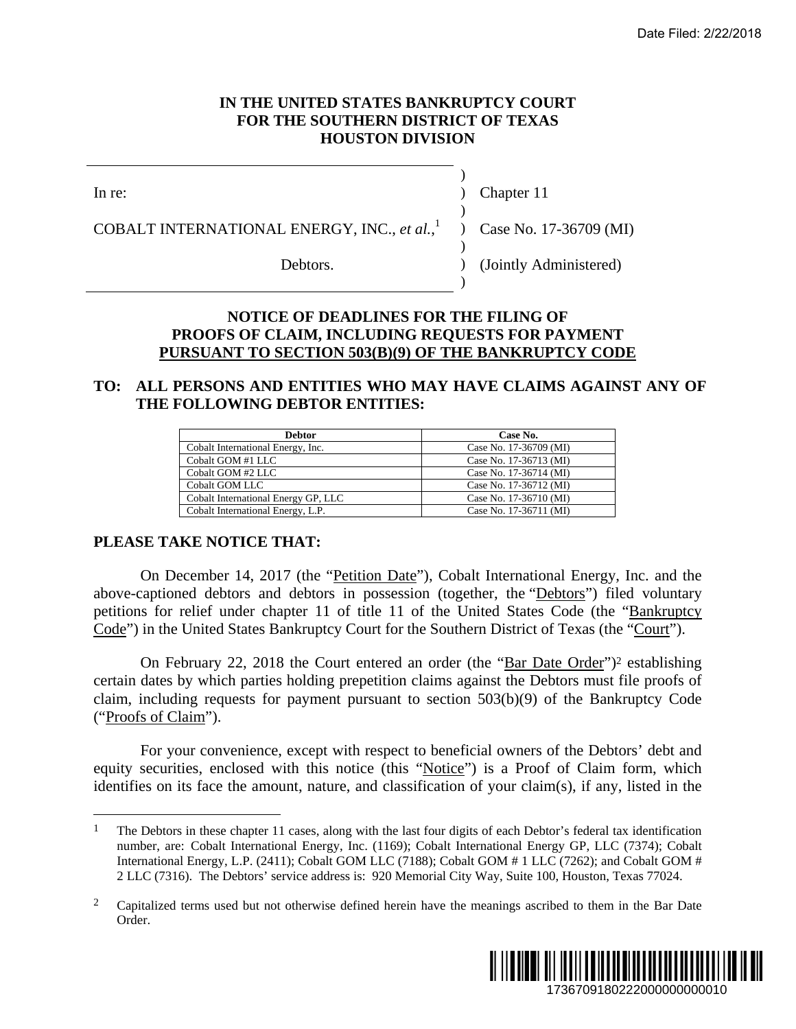### **IN THE UNITED STATES BANKRUPTCY COURT FOR THE SOUTHERN DISTRICT OF TEXAS HOUSTON DIVISION**

 $\overline{a}$ 

In re: (a) Chapter 11

)

)

)

 $\lambda$ 

COBALT INTERNATIONAL ENERGY, INC., *et al.*,

Debtors. (Jointly Administered)

) Case No. 17-36709 (MI)

## **NOTICE OF DEADLINES FOR THE FILING OF PROOFS OF CLAIM, INCLUDING REQUESTS FOR PAYMENT PURSUANT TO SECTION 503(B)(9) OF THE BANKRUPTCY CODE**

# **TO: ALL PERSONS AND ENTITIES WHO MAY HAVE CLAIMS AGAINST ANY OF THE FOLLOWING DEBTOR ENTITIES:**

| <b>Debtor</b>                       | Case No.               |
|-------------------------------------|------------------------|
| Cobalt International Energy, Inc.   | Case No. 17-36709 (MI) |
| Cobalt GOM #1 LLC                   | Case No. 17-36713 (MI) |
| Cobalt GOM #2 LLC                   | Case No. 17-36714 (MI) |
| <b>Cobalt GOM LLC</b>               | Case No. 17-36712 (MI) |
| Cobalt International Energy GP, LLC | Case No. 17-36710 (MI) |
| Cobalt International Energy, L.P.   | Case No. 17-36711 (MI) |

## **PLEASE TAKE NOTICE THAT:**

On December 14, 2017 (the "Petition Date"), Cobalt International Energy, Inc. and the above-captioned debtors and debtors in possession (together, the "Debtors") filed voluntary petitions for relief under chapter 11 of title 11 of the United States Code (the "Bankruptcy Code") in the United States Bankruptcy Court for the Southern District of Texas (the "Court"). Date Filed: 2/22/2018<br>
1736709 (MI)<br>
1736709 (MI)<br>
Iministered)<br> **OF**<br> **PAYMENT**<br> **MIS AGAINST ANY OF**<br> **MIS AGAINST ANY OF**<br> **MIS AGAINST ANY OF**<br> **MIS AGAINST ANY OF**<br>  $\frac{(M0)}{(M0)}$ <br>
and Energy, Inc. and the<br> **ebtors**")

On February 22, 2018 the Court entered an order (the "Bar Date Order")<sup>2</sup> establishing certain dates by which parties holding prepetition claims against the Debtors must file proofs of claim, including requests for payment pursuant to section 503(b)(9) of the Bankruptcy Code ("Proofs of Claim").

For your convenience, except with respect to beneficial owners of the Debtors' debt and equity securities, enclosed with this notice (this "Notice") is a Proof of Claim form, which identifies on its face the amount, nature, and classification of your claim(s), if any, listed in the

<sup>&</sup>lt;sup>2</sup> Capitalized terms used but not otherwise defined herein have the meanings ascribed to them in the Bar Date Order.



<sup>&</sup>lt;sup>1</sup> The Debtors in these chapter 11 cases, along with the last four digits of each Debtor's federal tax identification number, are: Cobalt International Energy, Inc. (1169); Cobalt International Energy GP, LLC (7374); Cobalt International Energy, L.P. (2411); Cobalt GOM LLC (7188); Cobalt GOM # 1 LLC (7262); and Cobalt GOM # 2 LLC (7316). The Debtors' service address is: 920 Memorial City Way, Suite 100, Houston, Texas 77024.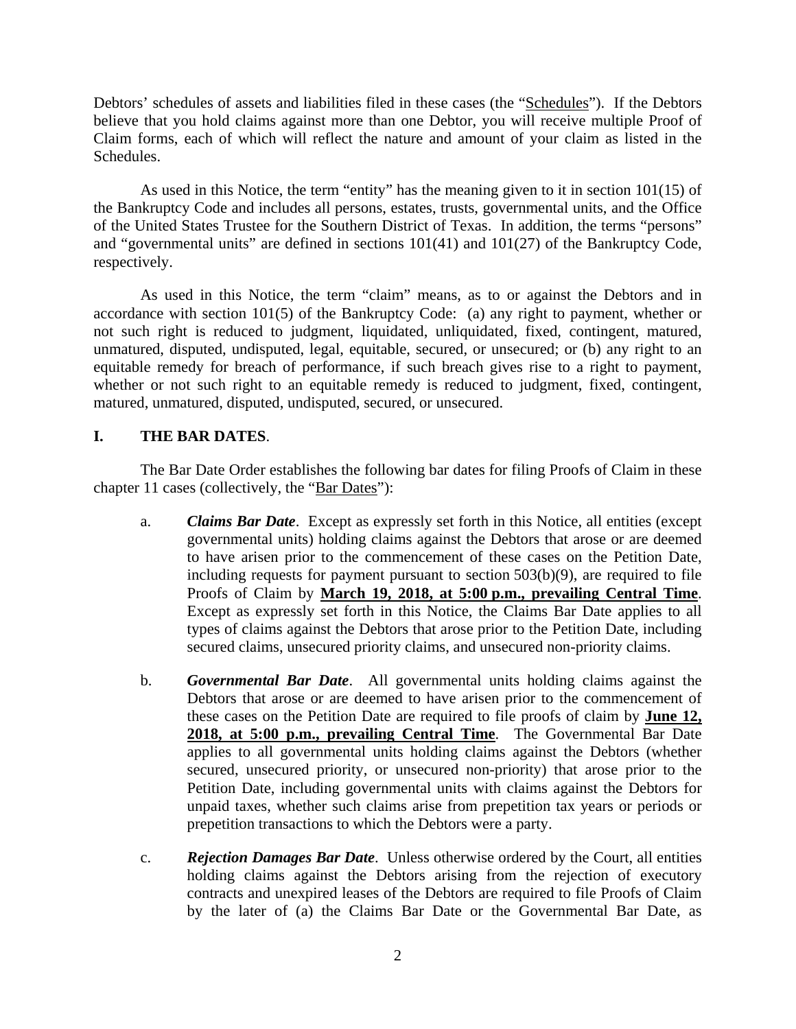Debtors' schedules of assets and liabilities filed in these cases (the "Schedules"). If the Debtors believe that you hold claims against more than one Debtor, you will receive multiple Proof of Claim forms, each of which will reflect the nature and amount of your claim as listed in the Schedules.

As used in this Notice, the term "entity" has the meaning given to it in section 101(15) of the Bankruptcy Code and includes all persons, estates, trusts, governmental units, and the Office of the United States Trustee for the Southern District of Texas. In addition, the terms "persons" and "governmental units" are defined in sections 101(41) and 101(27) of the Bankruptcy Code, respectively.

As used in this Notice, the term "claim" means, as to or against the Debtors and in accordance with section 101(5) of the Bankruptcy Code: (a) any right to payment, whether or not such right is reduced to judgment, liquidated, unliquidated, fixed, contingent, matured, unmatured, disputed, undisputed, legal, equitable, secured, or unsecured; or (b) any right to an equitable remedy for breach of performance, if such breach gives rise to a right to payment, whether or not such right to an equitable remedy is reduced to judgment, fixed, contingent, matured, unmatured, disputed, undisputed, secured, or unsecured.

## **I. THE BAR DATES**.

The Bar Date Order establishes the following bar dates for filing Proofs of Claim in these chapter 11 cases (collectively, the "Bar Dates"):

- a. *Claims Bar Date*. Except as expressly set forth in this Notice, all entities (except governmental units) holding claims against the Debtors that arose or are deemed to have arisen prior to the commencement of these cases on the Petition Date, including requests for payment pursuant to section 503(b)(9), are required to file Proofs of Claim by **March 19, 2018, at 5:00 p.m., prevailing Central Time**. Except as expressly set forth in this Notice, the Claims Bar Date applies to all types of claims against the Debtors that arose prior to the Petition Date, including secured claims, unsecured priority claims, and unsecured non-priority claims.
- b. *Governmental Bar Date*. All governmental units holding claims against the Debtors that arose or are deemed to have arisen prior to the commencement of these cases on the Petition Date are required to file proofs of claim by **June 12, 2018, at 5:00 p.m., prevailing Central Time**. The Governmental Bar Date applies to all governmental units holding claims against the Debtors (whether secured, unsecured priority, or unsecured non-priority) that arose prior to the Petition Date, including governmental units with claims against the Debtors for unpaid taxes, whether such claims arise from prepetition tax years or periods or prepetition transactions to which the Debtors were a party.
- c. *Rejection Damages Bar Date*. Unless otherwise ordered by the Court, all entities holding claims against the Debtors arising from the rejection of executory contracts and unexpired leases of the Debtors are required to file Proofs of Claim by the later of (a) the Claims Bar Date or the Governmental Bar Date, as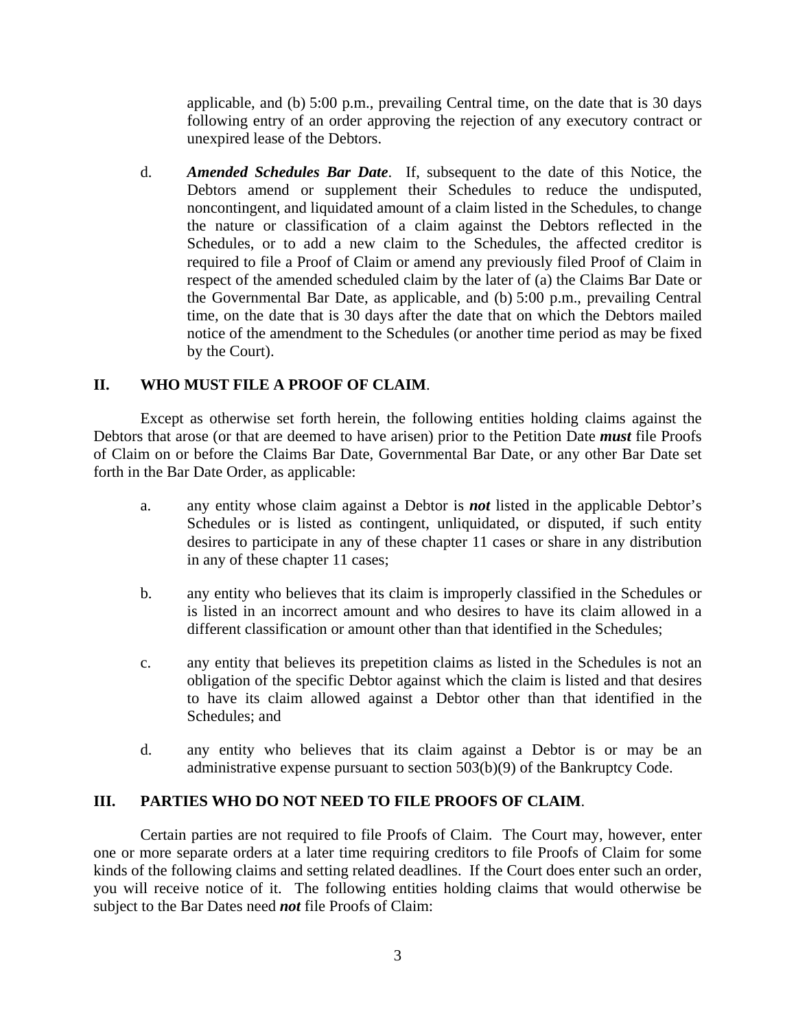applicable, and (b) 5:00 p.m., prevailing Central time, on the date that is 30 days following entry of an order approving the rejection of any executory contract or unexpired lease of the Debtors.

d. *Amended Schedules Bar Date*. If, subsequent to the date of this Notice, the Debtors amend or supplement their Schedules to reduce the undisputed, noncontingent, and liquidated amount of a claim listed in the Schedules, to change the nature or classification of a claim against the Debtors reflected in the Schedules, or to add a new claim to the Schedules, the affected creditor is required to file a Proof of Claim or amend any previously filed Proof of Claim in respect of the amended scheduled claim by the later of (a) the Claims Bar Date or the Governmental Bar Date, as applicable, and (b) 5:00 p.m., prevailing Central time, on the date that is 30 days after the date that on which the Debtors mailed notice of the amendment to the Schedules (or another time period as may be fixed by the Court).

## **II. WHO MUST FILE A PROOF OF CLAIM**.

Except as otherwise set forth herein, the following entities holding claims against the Debtors that arose (or that are deemed to have arisen) prior to the Petition Date *must* file Proofs of Claim on or before the Claims Bar Date, Governmental Bar Date, or any other Bar Date set forth in the Bar Date Order, as applicable:

- a. any entity whose claim against a Debtor is *not* listed in the applicable Debtor's Schedules or is listed as contingent, unliquidated, or disputed, if such entity desires to participate in any of these chapter 11 cases or share in any distribution in any of these chapter 11 cases;
- b. any entity who believes that its claim is improperly classified in the Schedules or is listed in an incorrect amount and who desires to have its claim allowed in a different classification or amount other than that identified in the Schedules;
- c. any entity that believes its prepetition claims as listed in the Schedules is not an obligation of the specific Debtor against which the claim is listed and that desires to have its claim allowed against a Debtor other than that identified in the Schedules; and
- d. any entity who believes that its claim against a Debtor is or may be an administrative expense pursuant to section 503(b)(9) of the Bankruptcy Code.

## **III. PARTIES WHO DO NOT NEED TO FILE PROOFS OF CLAIM**.

Certain parties are not required to file Proofs of Claim. The Court may, however, enter one or more separate orders at a later time requiring creditors to file Proofs of Claim for some kinds of the following claims and setting related deadlines. If the Court does enter such an order, you will receive notice of it. The following entities holding claims that would otherwise be subject to the Bar Dates need *not* file Proofs of Claim: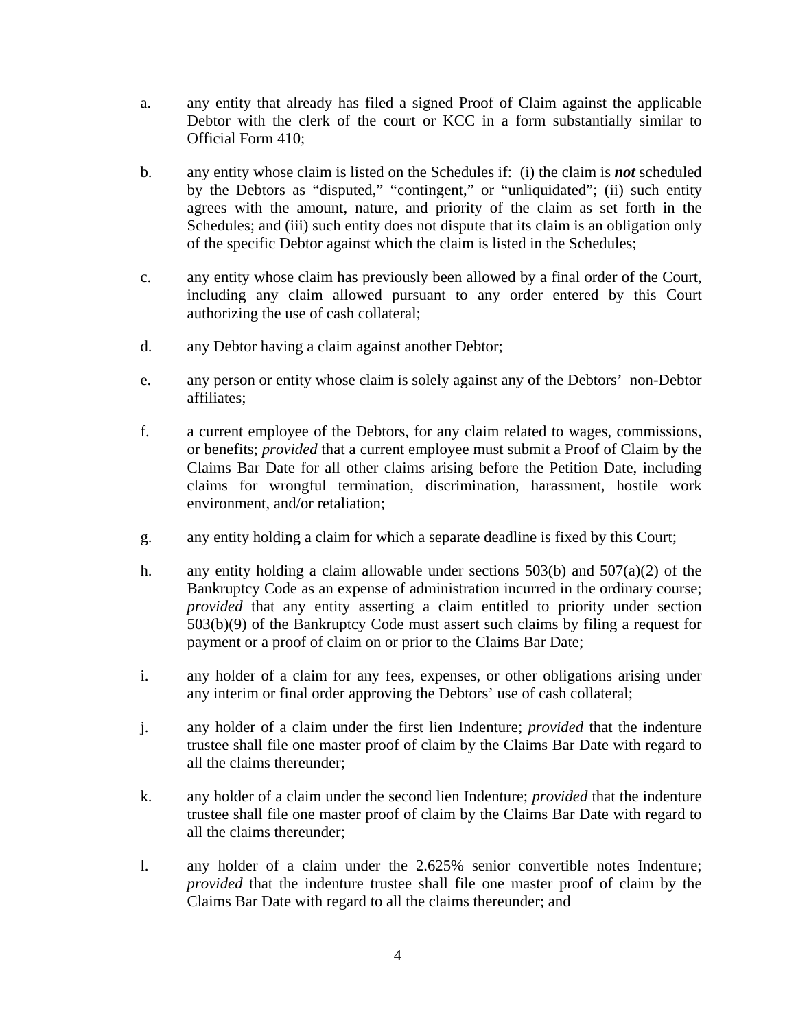- a. any entity that already has filed a signed Proof of Claim against the applicable Debtor with the clerk of the court or KCC in a form substantially similar to Official Form 410;
- b. any entity whose claim is listed on the Schedules if: (i) the claim is *not* scheduled by the Debtors as "disputed," "contingent," or "unliquidated"; (ii) such entity agrees with the amount, nature, and priority of the claim as set forth in the Schedules; and (iii) such entity does not dispute that its claim is an obligation only of the specific Debtor against which the claim is listed in the Schedules;
- c. any entity whose claim has previously been allowed by a final order of the Court, including any claim allowed pursuant to any order entered by this Court authorizing the use of cash collateral;
- d. any Debtor having a claim against another Debtor;
- e. any person or entity whose claim is solely against any of the Debtors' non-Debtor affiliates;
- f. a current employee of the Debtors, for any claim related to wages, commissions, or benefits; *provided* that a current employee must submit a Proof of Claim by the Claims Bar Date for all other claims arising before the Petition Date, including claims for wrongful termination, discrimination, harassment, hostile work environment, and/or retaliation;
- g. any entity holding a claim for which a separate deadline is fixed by this Court;
- h. any entity holding a claim allowable under sections 503(b) and 507(a)(2) of the Bankruptcy Code as an expense of administration incurred in the ordinary course; *provided* that any entity asserting a claim entitled to priority under section 503(b)(9) of the Bankruptcy Code must assert such claims by filing a request for payment or a proof of claim on or prior to the Claims Bar Date;
- i. any holder of a claim for any fees, expenses, or other obligations arising under any interim or final order approving the Debtors' use of cash collateral;
- j. any holder of a claim under the first lien Indenture; *provided* that the indenture trustee shall file one master proof of claim by the Claims Bar Date with regard to all the claims thereunder;
- k. any holder of a claim under the second lien Indenture; *provided* that the indenture trustee shall file one master proof of claim by the Claims Bar Date with regard to all the claims thereunder;
- l. any holder of a claim under the 2.625% senior convertible notes Indenture; *provided* that the indenture trustee shall file one master proof of claim by the Claims Bar Date with regard to all the claims thereunder; and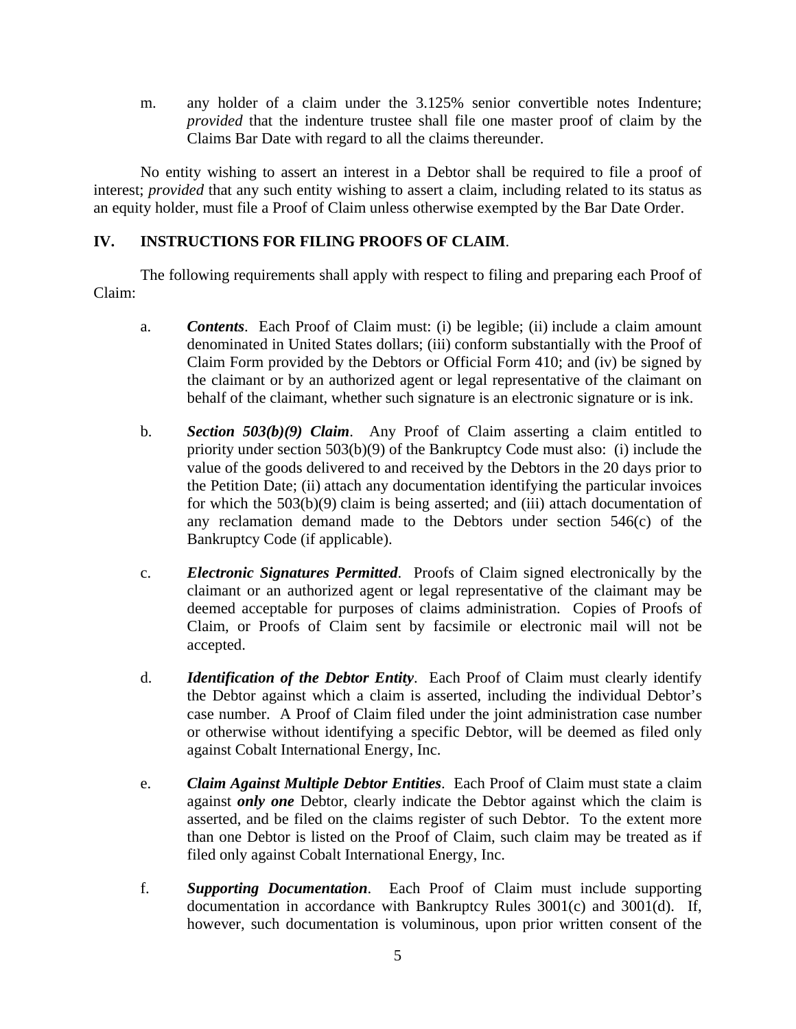m. any holder of a claim under the 3.125% senior convertible notes Indenture; *provided* that the indenture trustee shall file one master proof of claim by the Claims Bar Date with regard to all the claims thereunder.

No entity wishing to assert an interest in a Debtor shall be required to file a proof of interest; *provided* that any such entity wishing to assert a claim, including related to its status as an equity holder, must file a Proof of Claim unless otherwise exempted by the Bar Date Order.

# **IV. INSTRUCTIONS FOR FILING PROOFS OF CLAIM**.

The following requirements shall apply with respect to filing and preparing each Proof of Claim:

- a. *Contents*. Each Proof of Claim must: (i) be legible; (ii) include a claim amount denominated in United States dollars; (iii) conform substantially with the Proof of Claim Form provided by the Debtors or Official Form 410; and (iv) be signed by the claimant or by an authorized agent or legal representative of the claimant on behalf of the claimant, whether such signature is an electronic signature or is ink.
- b. *Section 503(b)(9) Claim*. Any Proof of Claim asserting a claim entitled to priority under section 503(b)(9) of the Bankruptcy Code must also: (i) include the value of the goods delivered to and received by the Debtors in the 20 days prior to the Petition Date; (ii) attach any documentation identifying the particular invoices for which the 503(b)(9) claim is being asserted; and (iii) attach documentation of any reclamation demand made to the Debtors under section 546(c) of the Bankruptcy Code (if applicable).
- c. *Electronic Signatures Permitted*. Proofs of Claim signed electronically by the claimant or an authorized agent or legal representative of the claimant may be deemed acceptable for purposes of claims administration. Copies of Proofs of Claim, or Proofs of Claim sent by facsimile or electronic mail will not be accepted.
- d. *Identification of the Debtor Entity*. Each Proof of Claim must clearly identify the Debtor against which a claim is asserted, including the individual Debtor's case number. A Proof of Claim filed under the joint administration case number or otherwise without identifying a specific Debtor, will be deemed as filed only against Cobalt International Energy, Inc.
- e. *Claim Against Multiple Debtor Entities*. Each Proof of Claim must state a claim against *only one* Debtor, clearly indicate the Debtor against which the claim is asserted, and be filed on the claims register of such Debtor. To the extent more than one Debtor is listed on the Proof of Claim, such claim may be treated as if filed only against Cobalt International Energy, Inc.
- f. *Supporting Documentation*. Each Proof of Claim must include supporting documentation in accordance with Bankruptcy Rules 3001(c) and 3001(d). If, however, such documentation is voluminous, upon prior written consent of the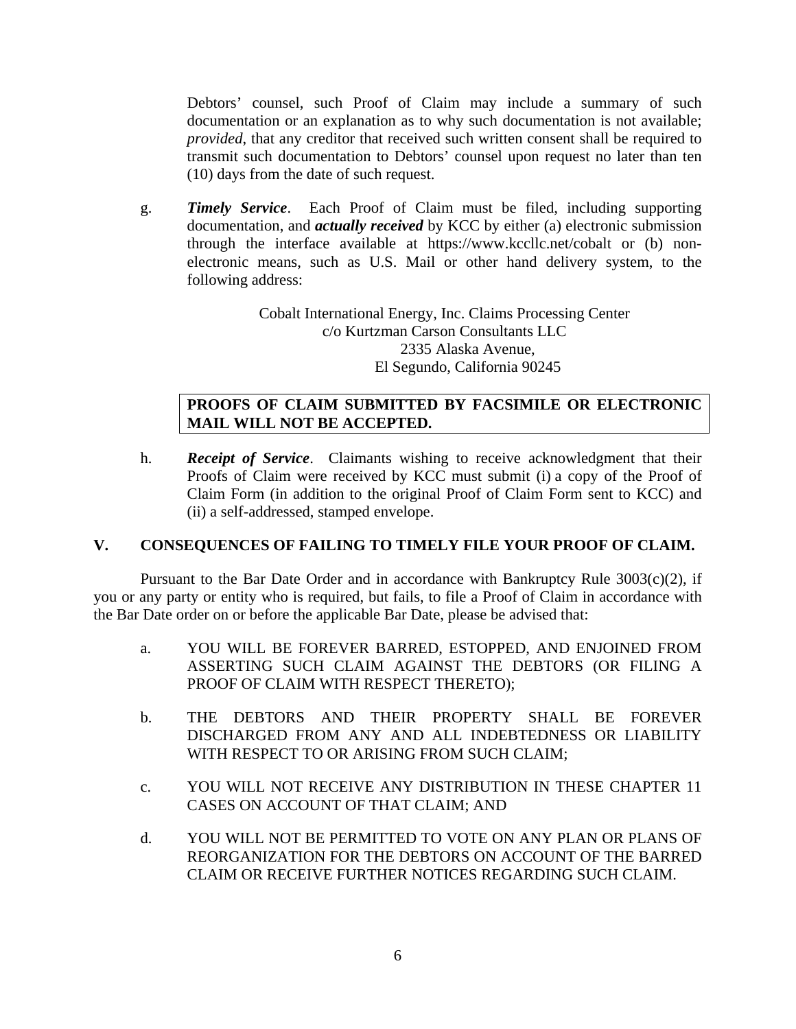Debtors' counsel, such Proof of Claim may include a summary of such documentation or an explanation as to why such documentation is not available; *provided*, that any creditor that received such written consent shall be required to transmit such documentation to Debtors' counsel upon request no later than ten (10) days from the date of such request.

g. *Timely Service*. Each Proof of Claim must be filed, including supporting documentation, and *actually received* by KCC by either (a) electronic submission through the interface available at https://www.kccllc.net/cobalt or (b) nonelectronic means, such as U.S. Mail or other hand delivery system, to the following address:

> Cobalt International Energy, Inc. Claims Processing Center c/o Kurtzman Carson Consultants LLC 2335 Alaska Avenue, El Segundo, California 90245

# **PROOFS OF CLAIM SUBMITTED BY FACSIMILE OR ELECTRONIC MAIL WILL NOT BE ACCEPTED.**

h. *Receipt of Service*. Claimants wishing to receive acknowledgment that their Proofs of Claim were received by KCC must submit (i) a copy of the Proof of Claim Form (in addition to the original Proof of Claim Form sent to KCC) and (ii) a self-addressed, stamped envelope.

# **V. CONSEQUENCES OF FAILING TO TIMELY FILE YOUR PROOF OF CLAIM.**

Pursuant to the Bar Date Order and in accordance with Bankruptcy Rule  $3003(c)(2)$ , if you or any party or entity who is required, but fails, to file a Proof of Claim in accordance with the Bar Date order on or before the applicable Bar Date, please be advised that:

- a. YOU WILL BE FOREVER BARRED, ESTOPPED, AND ENJOINED FROM ASSERTING SUCH CLAIM AGAINST THE DEBTORS (OR FILING A PROOF OF CLAIM WITH RESPECT THERETO);
- b. THE DEBTORS AND THEIR PROPERTY SHALL BE FOREVER DISCHARGED FROM ANY AND ALL INDEBTEDNESS OR LIABILITY WITH RESPECT TO OR ARISING FROM SUCH CLAIM;
- c. YOU WILL NOT RECEIVE ANY DISTRIBUTION IN THESE CHAPTER 11 CASES ON ACCOUNT OF THAT CLAIM; AND
- d. YOU WILL NOT BE PERMITTED TO VOTE ON ANY PLAN OR PLANS OF REORGANIZATION FOR THE DEBTORS ON ACCOUNT OF THE BARRED CLAIM OR RECEIVE FURTHER NOTICES REGARDING SUCH CLAIM.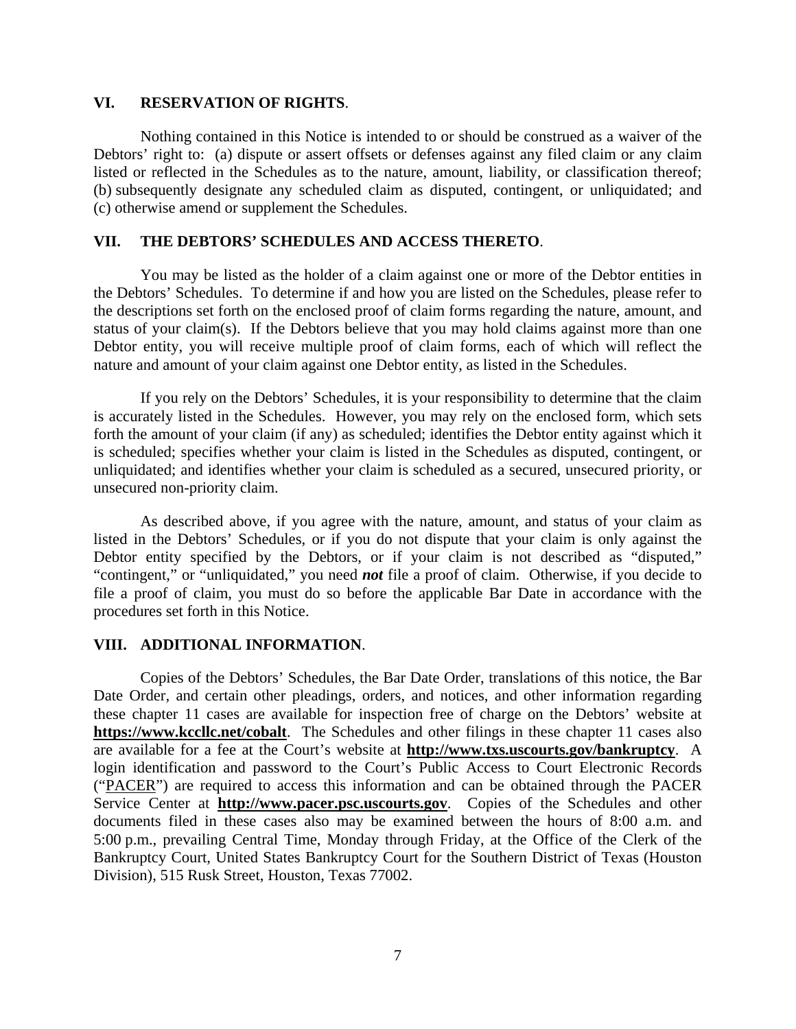#### **VI. RESERVATION OF RIGHTS**.

Nothing contained in this Notice is intended to or should be construed as a waiver of the Debtors' right to: (a) dispute or assert offsets or defenses against any filed claim or any claim listed or reflected in the Schedules as to the nature, amount, liability, or classification thereof; (b) subsequently designate any scheduled claim as disputed, contingent, or unliquidated; and (c) otherwise amend or supplement the Schedules.

#### **VII. THE DEBTORS' SCHEDULES AND ACCESS THERETO**.

You may be listed as the holder of a claim against one or more of the Debtor entities in the Debtors' Schedules. To determine if and how you are listed on the Schedules, please refer to the descriptions set forth on the enclosed proof of claim forms regarding the nature, amount, and status of your claim(s). If the Debtors believe that you may hold claims against more than one Debtor entity, you will receive multiple proof of claim forms, each of which will reflect the nature and amount of your claim against one Debtor entity, as listed in the Schedules.

If you rely on the Debtors' Schedules, it is your responsibility to determine that the claim is accurately listed in the Schedules. However, you may rely on the enclosed form, which sets forth the amount of your claim (if any) as scheduled; identifies the Debtor entity against which it is scheduled; specifies whether your claim is listed in the Schedules as disputed, contingent, or unliquidated; and identifies whether your claim is scheduled as a secured, unsecured priority, or unsecured non-priority claim.

As described above, if you agree with the nature, amount, and status of your claim as listed in the Debtors' Schedules, or if you do not dispute that your claim is only against the Debtor entity specified by the Debtors, or if your claim is not described as "disputed," "contingent," or "unliquidated," you need *not* file a proof of claim. Otherwise, if you decide to file a proof of claim, you must do so before the applicable Bar Date in accordance with the procedures set forth in this Notice.

#### **VIII. ADDITIONAL INFORMATION**.

Copies of the Debtors' Schedules, the Bar Date Order, translations of this notice, the Bar Date Order, and certain other pleadings, orders, and notices, and other information regarding these chapter 11 cases are available for inspection free of charge on the Debtors' website at **https://www.kccllc.net/cobalt**. The Schedules and other filings in these chapter 11 cases also are available for a fee at the Court's website at **http://www.txs.uscourts.gov/bankruptcy**. A login identification and password to the Court's Public Access to Court Electronic Records ("PACER") are required to access this information and can be obtained through the PACER Service Center at **http://www.pacer.psc.uscourts.gov**. Copies of the Schedules and other documents filed in these cases also may be examined between the hours of 8:00 a.m. and 5:00 p.m., prevailing Central Time, Monday through Friday, at the Office of the Clerk of the Bankruptcy Court, United States Bankruptcy Court for the Southern District of Texas (Houston Division), 515 Rusk Street, Houston, Texas 77002.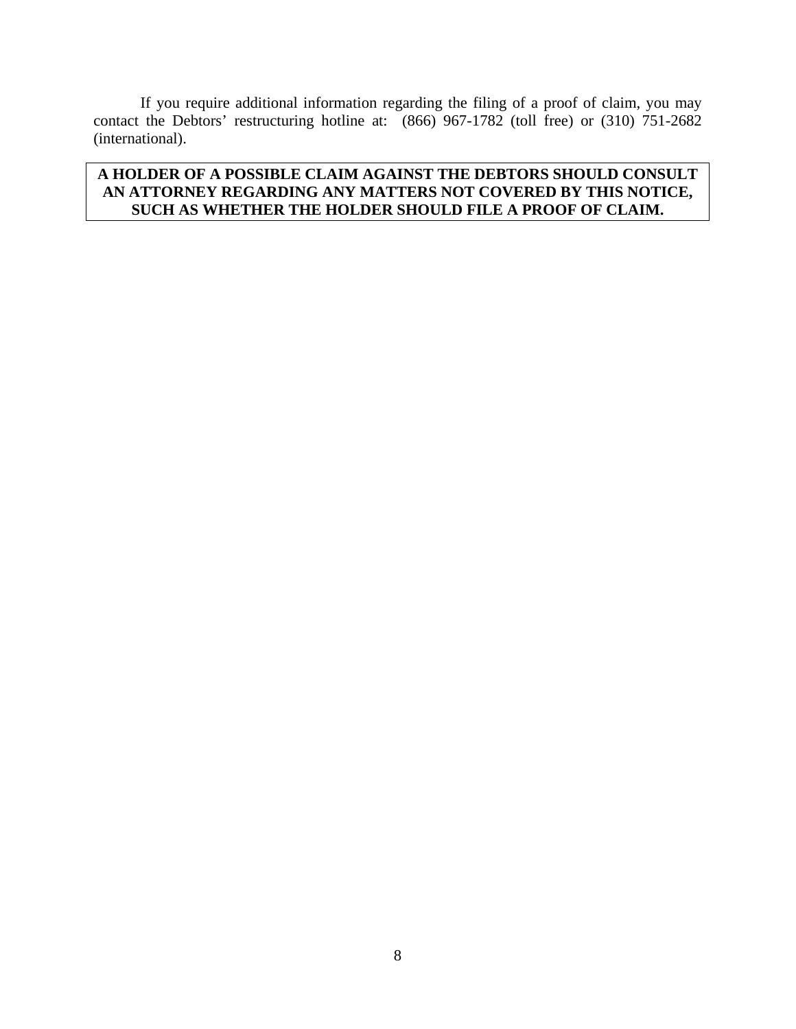If you require additional information regarding the filing of a proof of claim, you may contact the Debtors' restructuring hotline at: (866) 967-1782 (toll free) or (310) 751-2682 (international).

# **A HOLDER OF A POSSIBLE CLAIM AGAINST THE DEBTORS SHOULD CONSULT AN ATTORNEY REGARDING ANY MATTERS NOT COVERED BY THIS NOTICE, SUCH AS WHETHER THE HOLDER SHOULD FILE A PROOF OF CLAIM.**